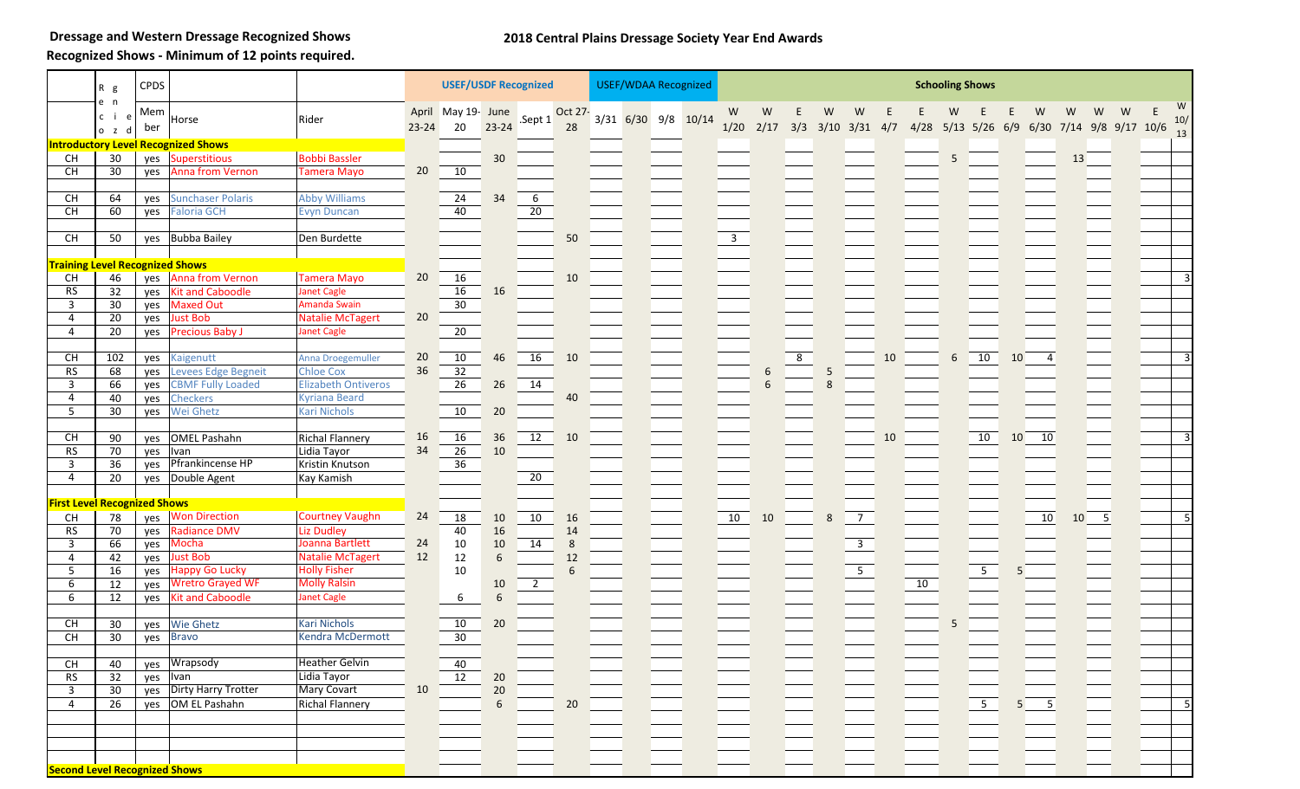**Dressage and Western Dressage Recognized Shows**

## **2018 Central Plains Dressage Society Year End Awards**

**Recognized Shows - Minimum of 12 points required.**

|                                          | R g                 | <b>CPDS</b> |                                                    |                            |           | <b>USEF/USDF Recognized</b> |                  |                 |               | <b>USEF/WDAA Recognized</b> |  |                     |  | <b>Schooling Shows</b>  |           |          |   |                          |    |    |   |                           |    |                                                 |    |                          |   |  |                |
|------------------------------------------|---------------------|-------------|----------------------------------------------------|----------------------------|-----------|-----------------------------|------------------|-----------------|---------------|-----------------------------|--|---------------------|--|-------------------------|-----------|----------|---|--------------------------|----|----|---|---------------------------|----|-------------------------------------------------|----|--------------------------|---|--|----------------|
|                                          | e n<br>cie<br>o z d | Mem<br>ber  | Horse                                              | Rider                      | $23 - 24$ | April May 19- June<br>20    | $23 - 24$        | .Sept 1         | Oct 27-<br>28 |                             |  | 3/31 6/30 9/8 10/14 |  | W<br>1/20               | W<br>2/17 | E<br>3/3 | W | W<br>$3/10$ $3/31$ $4/7$ |    |    |   |                           |    | W<br>4/28 5/13 5/26 6/9 6/30 7/14 9/8 9/17 10/6 | W  | w                        | W |  | W<br>10/       |
|                                          |                     |             | <b>Introductory Level Recognized Shows</b>         |                            |           |                             |                  |                 |               |                             |  |                     |  |                         |           |          |   |                          |    |    |   |                           |    |                                                 |    |                          |   |  | 13             |
| CH                                       | 30                  | yes         | <b>Superstitious</b>                               | <b>Bobbi Bassler</b>       |           |                             | 30               |                 |               |                             |  |                     |  |                         |           |          |   |                          |    |    | 5 |                           |    |                                                 | 13 |                          |   |  |                |
| <b>CH</b>                                | 30                  | yes         | Anna from Vernon                                   | <b>Tamera Mayo</b>         | 20        | 10                          |                  |                 |               |                             |  |                     |  |                         |           |          |   |                          |    |    |   |                           |    |                                                 |    |                          |   |  |                |
|                                          |                     |             |                                                    |                            |           |                             |                  |                 |               |                             |  |                     |  |                         |           |          |   |                          |    |    |   |                           |    |                                                 |    |                          |   |  |                |
| CH                                       | 64                  | yes         | <b>Sunchaser Polaris</b>                           | <b>Abby Williams</b>       |           | $\overline{24}$             | 34               | 6               |               |                             |  |                     |  |                         |           |          |   |                          |    |    |   |                           |    |                                                 |    |                          |   |  |                |
| <b>CH</b>                                | 60                  | yes         | <b>Faloria GCH</b>                                 | <b>Evyn Duncan</b>         |           | 40                          |                  | $20\,$          |               |                             |  |                     |  |                         |           |          |   |                          |    |    |   |                           |    |                                                 |    |                          |   |  |                |
|                                          |                     |             |                                                    |                            |           |                             |                  |                 |               |                             |  |                     |  |                         |           |          |   |                          |    |    |   |                           |    |                                                 |    |                          |   |  |                |
| $\mathsf{CH}% \left( \mathcal{M}\right)$ | 50                  | yes         | <b>Bubba Bailey</b>                                | Den Burdette               |           |                             |                  |                 | 50            |                             |  |                     |  | $\overline{\mathbf{3}}$ |           |          |   |                          |    |    |   |                           |    |                                                 |    |                          |   |  |                |
| <b>Training Level Recognized Shows</b>   |                     |             |                                                    |                            |           |                             |                  |                 |               |                             |  |                     |  |                         |           |          |   |                          |    |    |   |                           |    |                                                 |    |                          |   |  |                |
| CH                                       | 46                  | yes         | <b>Anna from Vernon</b>                            | <b>Tamera Mayo</b>         | 20        | 16                          |                  |                 | 10            |                             |  |                     |  |                         |           |          |   |                          |    |    |   |                           |    |                                                 |    |                          |   |  | $\overline{3}$ |
| RS                                       | 32                  | yes         | <b>Kit and Caboodle</b>                            | <b>Janet Cagle</b>         |           | 16                          | 16               |                 |               |                             |  |                     |  |                         |           |          |   |                          |    |    |   |                           |    |                                                 |    |                          |   |  |                |
| $\overline{3}$                           | 30                  | yes         | <b>Maxed Out</b>                                   | <b>Amanda Swain</b>        |           | 30                          |                  |                 |               |                             |  |                     |  |                         |           |          |   |                          |    |    |   |                           |    |                                                 |    |                          |   |  |                |
| 4                                        | $\overline{20}$     | yes         | <b>Just Bob</b>                                    | <b>Natalie McTagert</b>    | 20        |                             |                  |                 |               |                             |  |                     |  |                         |           |          |   |                          |    |    |   |                           |    |                                                 |    |                          |   |  |                |
| $\overline{4}$                           | 20                  | yes         | <b>Precious Baby J</b>                             | <b>Janet Cagle</b>         |           | 20                          |                  |                 |               |                             |  |                     |  |                         |           |          |   |                          |    |    |   |                           |    |                                                 |    |                          |   |  |                |
| CH                                       | 102                 |             |                                                    | Anna Droegemuller          | 20        | 10                          | 46               | 16              | 10            |                             |  |                     |  |                         |           | $\infty$ |   |                          | 10 |    | 6 | 10                        | 10 | $\overline{4}$                                  |    |                          |   |  |                |
| <b>RS</b>                                | 68                  | yes<br>yes  | Kaigenutt<br>Levees Edge Begneit                   | <b>Chloe Cox</b>           | 36        | 32                          |                  |                 |               |                             |  |                     |  |                         | 6         |          | 5 |                          |    |    |   |                           |    |                                                 |    |                          |   |  |                |
| 3                                        | 66                  | yes         | <b>CBMF Fully Loaded</b>                           | <b>Elizabeth Ontiveros</b> |           | 26                          | 26               | 14              |               |                             |  |                     |  |                         | 6         |          |   |                          |    |    |   |                           |    |                                                 |    |                          |   |  |                |
| 4                                        | 40                  | yes         | Checkers                                           | <b>Kyriana Beard</b>       |           |                             |                  |                 | 40            |                             |  |                     |  |                         |           |          |   |                          |    |    |   |                           |    |                                                 |    |                          |   |  |                |
| 5                                        | 30                  | yes         | Wei Ghetz                                          | <b>Kari Nichols</b>        |           | 10                          | 20               |                 |               |                             |  |                     |  |                         |           |          |   |                          |    |    |   |                           |    |                                                 |    |                          |   |  |                |
|                                          |                     |             |                                                    |                            |           |                             |                  |                 |               |                             |  |                     |  |                         |           |          |   |                          |    |    |   |                           |    |                                                 |    |                          |   |  |                |
| <b>CH</b>                                | 90                  | yes         | <b>OMEL Pashahn</b>                                | <b>Richal Flannery</b>     | 16        | 16                          | 36               | 12              | 10            |                             |  |                     |  |                         |           |          |   |                          | 10 |    |   | 10                        | 10 | 10                                              |    |                          |   |  | $\overline{3}$ |
| <b>RS</b>                                | 70                  | yes         | Ivan                                               | Lidia Tayor                | 34        | 26                          | 10               |                 |               |                             |  |                     |  |                         |           |          |   |                          |    |    |   |                           |    |                                                 |    |                          |   |  |                |
| 3                                        | 36                  | yes         | Pfrankincense HP                                   | Kristin Knutson            |           | $\overline{36}$             |                  |                 |               |                             |  |                     |  |                         |           |          |   |                          |    |    |   |                           |    |                                                 |    |                          |   |  |                |
| 4                                        | 20                  | yes         | Double Agent                                       | Kay Kamish                 |           |                             |                  | $\overline{20}$ |               |                             |  |                     |  |                         |           |          |   |                          |    |    |   |                           |    |                                                 |    |                          |   |  |                |
| <b>First Level Recognized Shows</b>      |                     |             |                                                    |                            |           |                             |                  |                 |               |                             |  |                     |  |                         |           |          |   |                          |    |    |   |                           |    |                                                 |    |                          |   |  |                |
| CH                                       | 78                  | yes         | <b>Won Direction</b>                               | <b>Courtney Vaughn</b>     | 24        | 18                          | 10               | 10              | 16            |                             |  |                     |  | 10                      | 10        |          | 8 | $\overline{7}$           |    |    |   |                           |    | 10                                              | 10 | $\overline{\phantom{0}}$ |   |  | .5             |
| <b>RS</b>                                | 70                  | yes         | Radiance DMV                                       | <b>Liz Dudley</b>          |           | 40                          | 16               |                 | 14            |                             |  |                     |  |                         |           |          |   |                          |    |    |   |                           |    |                                                 |    |                          |   |  |                |
| $\overline{3}$                           | 66                  | yes         | Mocha                                              | Joanna Bartlett            | 24        | 10                          | 10               | 14              | 8             |                             |  |                     |  |                         |           |          |   | $\overline{\mathbf{3}}$  |    |    |   |                           |    |                                                 |    |                          |   |  |                |
| 4                                        | 42                  | yes         | <b>Just Bob</b>                                    | <b>Natalie McTagert</b>    | 12        | $12\,$                      | $6\phantom{a}$   |                 | 12            |                             |  |                     |  |                         |           |          |   |                          |    |    |   |                           |    |                                                 |    |                          |   |  |                |
| 5                                        | 16                  | yes         | <b>Happy Go Lucky</b>                              | <b>Holly Fisher</b>        |           | 10                          |                  |                 | 6             |                             |  |                     |  |                         |           |          |   | $\overline{5}$           |    |    |   | $5\overline{)}$           |    |                                                 |    |                          |   |  |                |
| 6                                        | 12<br>12            | yes         | <b>Wretro Grayed WF</b><br><b>Kit and Caboodle</b> | <b>Molly Ralsin</b>        |           |                             | 10<br>$\sqrt{6}$ | $\overline{2}$  |               |                             |  |                     |  |                         |           |          |   |                          |    | 10 |   |                           |    |                                                 |    |                          |   |  |                |
| 6                                        |                     | yes         |                                                    | <b>Janet Cagle</b>         |           | 6                           |                  |                 |               |                             |  |                     |  |                         |           |          |   |                          |    |    |   |                           |    |                                                 |    |                          |   |  |                |
| <b>CH</b>                                | 30                  | yes         | <b>Wie Ghetz</b>                                   | <b>Kari Nichols</b>        |           | 10                          | 20               |                 |               |                             |  |                     |  |                         |           |          |   |                          |    |    | 5 |                           |    |                                                 |    |                          |   |  |                |
| $\overline{CH}$                          | 30                  | yes         | <b>Bravo</b>                                       | Kendra McDermott           |           | 30                          |                  |                 |               |                             |  |                     |  |                         |           |          |   |                          |    |    |   |                           |    |                                                 |    |                          |   |  |                |
|                                          |                     |             |                                                    |                            |           |                             |                  |                 |               |                             |  |                     |  |                         |           |          |   |                          |    |    |   |                           |    |                                                 |    |                          |   |  |                |
| CH                                       | 40                  | yes         | Wrapsody                                           | <b>Heather Gelvin</b>      |           | 40                          |                  |                 |               |                             |  |                     |  |                         |           |          |   |                          |    |    |   |                           |    |                                                 |    |                          |   |  |                |
| <b>RS</b>                                | 32                  | yes         | Ivan                                               | Lidia Tayor                |           | 12                          | 20               |                 |               |                             |  |                     |  |                         |           |          |   |                          |    |    |   |                           |    |                                                 |    |                          |   |  |                |
| 3                                        | 30                  | yes         | Dirty Harry Trotter                                | Mary Covart                | 10        |                             | $20\,$           |                 |               |                             |  |                     |  |                         |           |          |   |                          |    |    |   |                           |    |                                                 |    |                          |   |  |                |
| 4                                        | 26                  | yes         | OM EL Pashahn                                      | <b>Richal Flannery</b>     |           |                             | $\boldsymbol{6}$ |                 | 20            |                             |  |                     |  |                         |           |          |   |                          |    |    |   | $\overline{\phantom{0}5}$ |    |                                                 |    |                          |   |  | 5              |
|                                          |                     |             |                                                    |                            |           |                             |                  |                 |               |                             |  |                     |  |                         |           |          |   |                          |    |    |   |                           |    |                                                 |    |                          |   |  |                |
|                                          |                     |             |                                                    |                            |           |                             |                  |                 |               |                             |  |                     |  |                         |           |          |   |                          |    |    |   |                           |    |                                                 |    |                          |   |  |                |
|                                          |                     |             |                                                    |                            |           |                             |                  |                 |               |                             |  |                     |  |                         |           |          |   |                          |    |    |   |                           |    |                                                 |    |                          |   |  |                |
| <b>Second Level Recognized Shows</b>     |                     |             |                                                    |                            |           |                             |                  |                 |               |                             |  |                     |  |                         |           |          |   |                          |    |    |   |                           |    |                                                 |    |                          |   |  |                |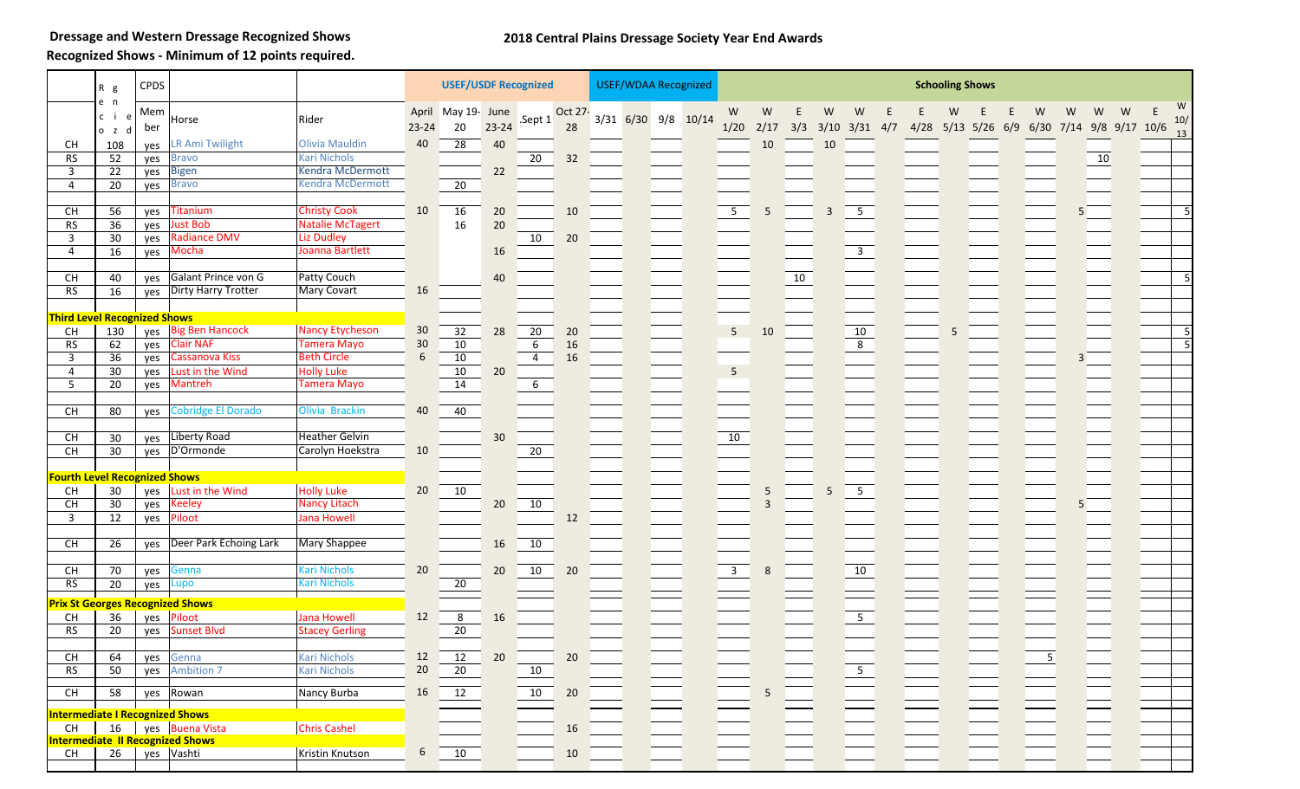**Dressage and Western Dressage Recognized Shows**

## **2018 Central Plains Dressage Society Year End Awards**

**Recognized Shows - Minimum of 12 points required.**

|                                          | $R$ g                    | <b>CPDS</b> |                                            |                                          |                       | <b>USEF/USDF Recognized</b> |           |                |               | <b>USEF/WDAA Recognized</b> |  |                         |           |    |    |                                |      | <b>Schooling Shows</b> |     |   |   |                              |   |               |
|------------------------------------------|--------------------------|-------------|--------------------------------------------|------------------------------------------|-----------------------|-----------------------------|-----------|----------------|---------------|-----------------------------|--|-------------------------|-----------|----|----|--------------------------------|------|------------------------|-----|---|---|------------------------------|---|---------------|
|                                          | e n<br>c i<br>e<br>o z d | Mem<br>ber  | Horse                                      | Rider                                    | April<br>$23 - 24$    | May 19- June<br>20          | $23 - 24$ | .Sept 1        | Oct 27-<br>28 | $3/31$ 6/30 9/8 10/14       |  | W<br>1/20               | W<br>2/17 |    | W  | W<br>$3/3$ $3/10$ $3/31$ $4/7$ | 4/28 | $5/13$ $5/26$          | 6/9 | W | W | W<br>6/30 7/14 9/8 9/17 10/6 | W | W<br>E<br>10/ |
| CH                                       | 108                      | ves         | <b>LR Ami Twilight</b>                     | <b>Olivia Mauldin</b>                    | 40                    | 28                          | 40        |                |               |                             |  |                         | 10        |    | 10 |                                |      |                        |     |   |   |                              |   | 13            |
| <b>RS</b>                                | 52                       | yes         | <b>Bravo</b>                               | <b>Kari Nichols</b>                      |                       |                             |           | 20             | 32            |                             |  |                         |           |    |    |                                |      |                        |     |   |   | 10                           |   |               |
| 3                                        | 22                       | yes         | <b>Bigen</b>                               | Kendra McDermott                         |                       |                             | 22        |                |               |                             |  |                         |           |    |    |                                |      |                        |     |   |   |                              |   |               |
| 4                                        | 20                       | yes         | <b>Bravo</b>                               | Kendra McDermott                         |                       | 20                          |           |                |               |                             |  |                         |           |    |    |                                |      |                        |     |   |   |                              |   |               |
|                                          |                          |             |                                            |                                          |                       |                             |           |                |               |                             |  |                         |           |    |    |                                |      |                        |     |   |   |                              |   |               |
| CH                                       | 56                       | yes         | <b>Titanium</b>                            | <b>Christy Cook</b>                      | 10                    | 16                          | 20        |                | 10            |                             |  | $5\overline{)}$         |           |    |    | 5 <sub>5</sub>                 |      |                        |     |   |   |                              |   |               |
| RS                                       | 36                       | yes         | <b>Just Bob</b>                            | <b>Natalie McTagert</b>                  |                       | 16                          | 20        |                |               |                             |  |                         |           |    |    |                                |      |                        |     |   |   |                              |   |               |
| 3                                        | $\overline{30}$          | yes         | <b>Radiance DMV</b>                        | <b>Liz Dudley</b>                        |                       |                             |           | 10             | 20            |                             |  |                         |           |    |    |                                |      |                        |     |   |   |                              |   |               |
| 4                                        | 16                       | yes         | Mocha                                      | Joanna Bartlett                          |                       |                             | 16        |                |               |                             |  |                         |           |    |    | $\overline{\mathbf{3}}$        |      |                        |     |   |   |                              |   |               |
|                                          |                          |             |                                            |                                          |                       |                             |           |                |               |                             |  |                         |           |    |    |                                |      |                        |     |   |   |                              |   |               |
| CH                                       | 40                       | ves         | Galant Prince von G                        | Patty Couch                              |                       |                             | 40        |                |               |                             |  |                         |           | 10 |    |                                |      |                        |     |   |   |                              |   |               |
| RS                                       | 16                       |             | yes Dirty Harry Trotter                    | Mary Covart                              | 16                    |                             |           |                |               |                             |  |                         |           |    |    |                                |      |                        |     |   |   |                              |   |               |
|                                          |                          |             |                                            |                                          |                       |                             |           |                |               |                             |  |                         |           |    |    |                                |      |                        |     |   |   |                              |   |               |
| <b>Third Level Recognized Shows</b>      |                          |             |                                            |                                          |                       |                             |           |                |               |                             |  |                         |           |    |    |                                |      |                        |     |   |   |                              |   |               |
| CH                                       | 130                      | yes         | <b>Big Ben Hancock</b><br><b>Clair NAF</b> | <b>Nancy Etycheson</b>                   | 30<br>30 <sub>o</sub> | 32                          | 28        | 20             | 20            |                             |  | $\overline{\mathbf{5}}$ | 10        |    |    | 10                             |      |                        |     |   |   |                              |   |               |
| <b>RS</b>                                | 62                       | yes         | Cassanova Kiss                             | <b>Tamera Mayo</b><br><b>Beth Circle</b> | 6                     | 10<br>10                    |           | 6              | 16            |                             |  |                         |           |    |    | $\overline{8}$                 |      |                        |     |   |   |                              |   |               |
| 3<br>4                                   | 36<br>30                 | yes         | Lust in the Wind                           | <b>Holly Luke</b>                        |                       | 10                          | 20        | $\overline{4}$ | 16            |                             |  | $\sqrt{5}$              |           |    |    |                                |      |                        |     |   |   |                              |   |               |
| 5                                        | $\overline{20}$          | yes<br>yes  | <b>Mantreh</b>                             | <b>Tamera Mayo</b>                       |                       | 14                          |           | 6              |               |                             |  |                         |           |    |    |                                |      |                        |     |   |   |                              |   |               |
|                                          |                          |             |                                            |                                          |                       |                             |           |                |               |                             |  |                         |           |    |    |                                |      |                        |     |   |   |                              |   |               |
| <b>CH</b>                                | 80                       | yes         | Cobridge El Dorado                         | Olivia Brackin                           | 40                    | 40                          |           |                |               |                             |  |                         |           |    |    |                                |      |                        |     |   |   |                              |   |               |
| $\mathsf{CH}% \left( \mathcal{M}\right)$ | 30                       | yes         | <b>Liberty Road</b>                        | <b>Heather Gelvin</b>                    |                       |                             | 30        |                |               |                             |  | 10                      |           |    |    |                                |      |                        |     |   |   |                              |   |               |
| <b>CH</b>                                | 30                       | yes         | D'Ormonde                                  | Carolyn Hoekstra                         | 10                    |                             |           | 20             |               |                             |  |                         |           |    |    |                                |      |                        |     |   |   |                              |   |               |
|                                          |                          |             |                                            |                                          |                       |                             |           |                |               |                             |  |                         |           |    |    |                                |      |                        |     |   |   |                              |   |               |
| <b>Fourth Level Recognized Shows</b>     |                          |             |                                            |                                          |                       |                             |           |                |               |                             |  |                         |           |    |    |                                |      |                        |     |   |   |                              |   |               |
| CH                                       | 30                       | yes         | Lust in the Wind                           | <b>Holly Luke</b>                        | 20                    | 10                          |           |                |               |                             |  |                         | 5         |    |    | $\overline{5}$                 |      |                        |     |   |   |                              |   |               |
| <b>CH</b>                                | 30                       | yes         | <b>Keeley</b>                              | <b>Nancy Litach</b>                      |                       |                             | 20        | 10             |               |                             |  |                         |           |    |    |                                |      |                        |     |   |   |                              |   |               |
| $\mathbf{3}$                             | 12                       | yes         | Piloot                                     | <b>Jana Howell</b>                       |                       |                             |           |                | 12            |                             |  |                         |           |    |    |                                |      |                        |     |   |   |                              |   |               |
| $\mathsf{CH}% \left( \mathcal{M}\right)$ | 26                       | yes         | Deer Park Echoing Lark                     | <b>Mary Shappee</b>                      |                       |                             | 16        | 10             |               |                             |  |                         |           |    |    |                                |      |                        |     |   |   |                              |   |               |
| $\mathsf{CH}% \left( \mathcal{M}\right)$ | 70                       |             | Genna                                      | <b>Kari Nichols</b>                      | $20\,$                |                             |           | 10             | 20            |                             |  | $\overline{\mathbf{3}}$ |           |    |    |                                |      |                        |     |   |   |                              |   |               |
| <b>RS</b>                                | 20                       | yes<br>yes  | Lupo                                       | <b>Kari Nichols</b>                      |                       | 20                          | 20        |                |               |                             |  |                         |           |    |    | 10                             |      |                        |     |   |   |                              |   |               |
|                                          |                          |             |                                            |                                          |                       |                             |           |                |               |                             |  |                         |           |    |    |                                |      |                        |     |   |   |                              |   |               |
|                                          |                          |             | <b>Prix St Georges Recognized Shows</b>    |                                          |                       |                             |           |                |               |                             |  |                         |           |    |    |                                |      |                        |     |   |   |                              |   |               |
| CH                                       | 36                       |             | yes Piloot                                 | <b>Jana Howell</b>                       | 12                    | 8                           | 16        |                |               |                             |  |                         |           |    |    | 5 <sub>1</sub>                 |      |                        |     |   |   |                              |   |               |
| <b>RS</b>                                | 20                       | yes         | <b>Sunset Blvd</b>                         | <b>Stacey Gerling</b>                    |                       | 20                          |           |                |               |                             |  |                         |           |    |    |                                |      |                        |     |   |   |                              |   |               |
|                                          |                          |             |                                            |                                          |                       |                             |           |                |               |                             |  |                         |           |    |    |                                |      |                        |     |   |   |                              |   |               |
| $\mathsf{CH}% \left( \mathcal{M}\right)$ | 64                       | yes         | Genna                                      | <b>Kari Nichols</b>                      | $\frac{12}{20}$       | 12                          | 20        |                | 20            |                             |  |                         |           |    |    |                                |      |                        |     | 5 |   |                              |   |               |
| <b>RS</b>                                | 50                       | yes         | <b>Ambition 7</b>                          | <b>Kari Nichols</b>                      |                       | 20                          |           | 10             |               |                             |  |                         |           |    |    | $\overline{\phantom{0}}$       |      |                        |     |   |   |                              |   |               |
| CH                                       | 58                       |             | yes Rowan                                  | Nancy Burba                              | 16                    | 12                          |           | 10             | 20            |                             |  |                         |           |    |    |                                |      |                        |     |   |   |                              |   |               |
| <b>Intermediate I Recognized Shows</b>   |                          |             |                                            |                                          |                       |                             |           |                |               |                             |  |                         |           |    |    |                                |      |                        |     |   |   |                              |   |               |
| CH                                       | 16                       |             | yes Buena Vista                            | <b>Chris Cashel</b>                      |                       |                             |           |                | $16\,$        |                             |  |                         |           |    |    |                                |      |                        |     |   |   |                              |   |               |
|                                          |                          |             | <b>Intermediate II Recognized Shows</b>    |                                          |                       |                             |           |                |               |                             |  |                         |           |    |    |                                |      |                        |     |   |   |                              |   |               |
| <b>CH</b>                                | 26                       |             | yes Vashti                                 | Kristin Knutson                          | $\sqrt{6}$            | 10                          |           |                | $10\,$        |                             |  |                         |           |    |    |                                |      |                        |     |   |   |                              |   |               |
|                                          |                          |             |                                            |                                          |                       |                             |           |                |               |                             |  |                         |           |    |    |                                |      |                        |     |   |   |                              |   |               |